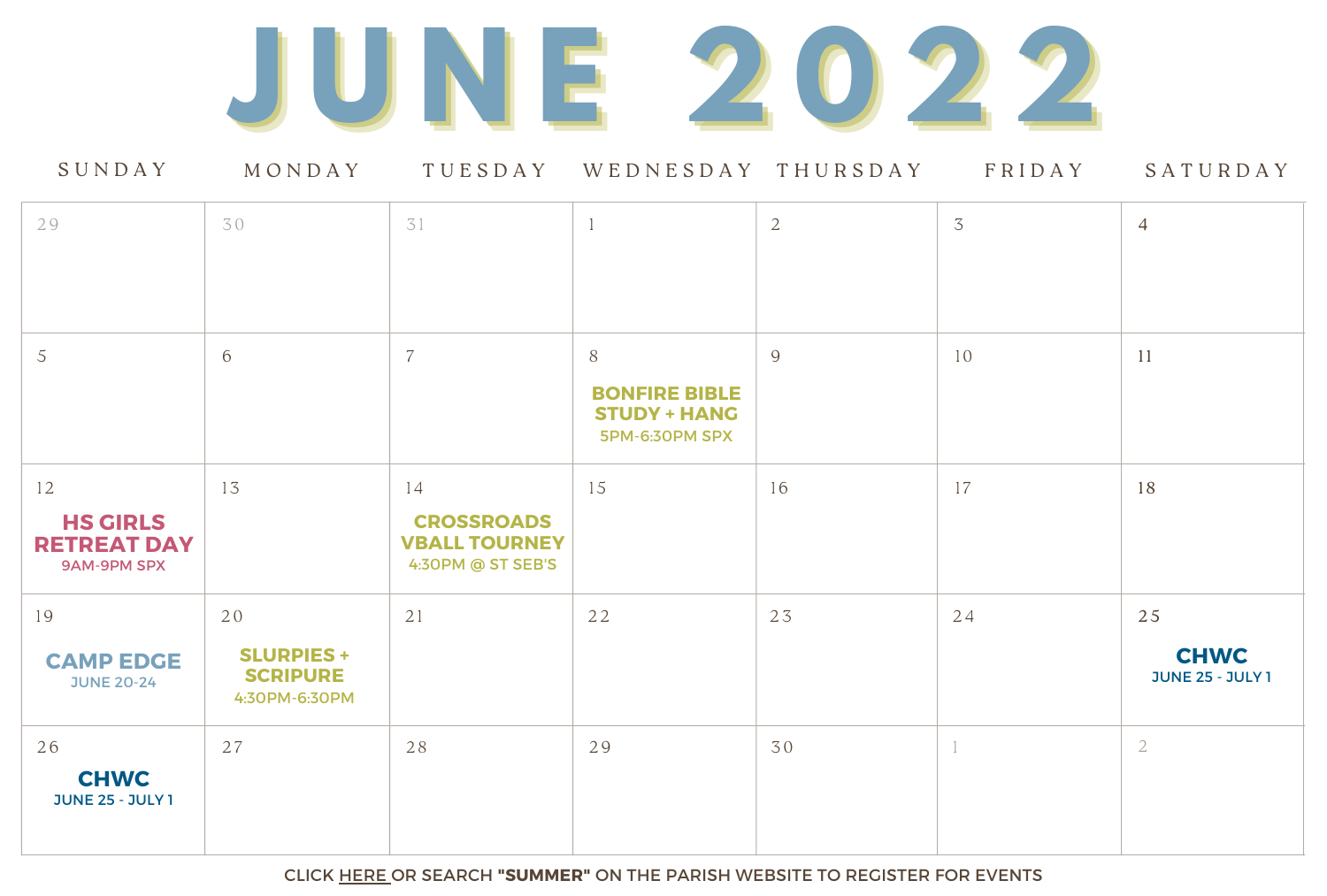

| 29                                                                | 30                                                          | 31                                                                   |                                                               | $\overline{2}$ | $\overline{3}$ | $\overline{4}$                               |
|-------------------------------------------------------------------|-------------------------------------------------------------|----------------------------------------------------------------------|---------------------------------------------------------------|----------------|----------------|----------------------------------------------|
| 5                                                                 | 6                                                           | $\overline{7}$                                                       | 8                                                             | 9              | 10             | <sup>11</sup>                                |
|                                                                   |                                                             |                                                                      | <b>BONFIRE BIBLE</b><br><b>STUDY + HANG</b><br>5PM-6:30PM SPX |                |                |                                              |
| 12<br><b>HS GIRLS</b><br><b>RETREAT DAY</b><br><b>9AM-9PM SPX</b> | 13                                                          | 14<br><b>CROSSROADS</b><br><b>VBALL TOURNEY</b><br>4:30PM @ ST SEB'S | 15                                                            | 16             | 17             | 18                                           |
| 19<br><b>CAMP EDGE</b><br><b>JUNE 20-24</b>                       | 20<br><b>SLURPIES +</b><br><b>SCRIPURE</b><br>4:30PM-6:30PM | 21                                                                   | 22                                                            | 23             | 24             | 25<br><b>CHWC</b><br><b>JUNE 25 - JULY 1</b> |
| 26<br><b>CHWC</b><br><b>JUNE 25 - JULY 1</b>                      | 27                                                          | 28                                                                   | 29                                                            | 30             |                | $\overline{2}$                               |

CLICK [HERE](https://spxcatholic.org/faith-formation/high-school/youth-ministry-events-registration/) OR SEARCH **"SUMMER"** ON THE PARISH WEBSITE TO REGISTER FOR EVENTS



# S U N D A Y M O N D A Y T U E S D A Y W E D N E S D A Y T H U R S D A Y F R I D A Y S A T U R D A Y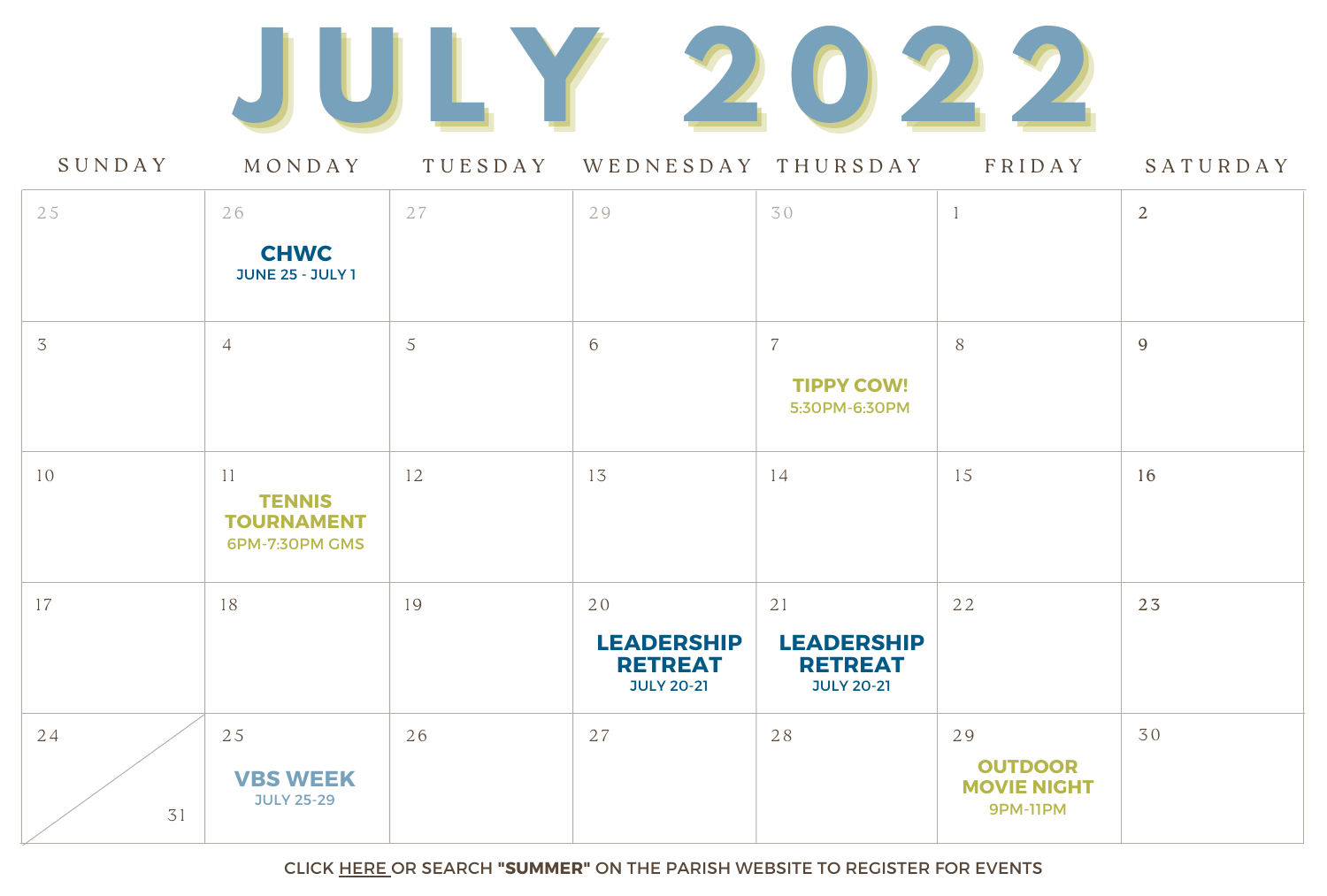| SUNDAY         | MONDAY                                                            | TUESDAY | WEDNESDAY THURSDAY                                             |                                                                | FRIDAY                                                        | SATURDAY       |
|----------------|-------------------------------------------------------------------|---------|----------------------------------------------------------------|----------------------------------------------------------------|---------------------------------------------------------------|----------------|
| 25             | 26<br><b>CHWC</b><br><b>JUNE 25 - JULY 1</b>                      | 27      | 29                                                             | 30                                                             |                                                               | $\overline{2}$ |
| $\overline{3}$ | $\overline{4}$                                                    | 5       | 6                                                              | 7<br><b>TIPPY COW!</b><br>5:30PM-6:30PM                        | 8                                                             | 9              |
| 10             | 11<br><b>TENNIS</b><br><b>TOURNAMENT</b><br><b>6PM-7:30PM GMS</b> | 12      | 13                                                             | 14                                                             | 15                                                            | 16             |
| 17             | 18                                                                | 19      | 20<br><b>LEADERSHIP</b><br><b>RETREAT</b><br><b>JULY 20-21</b> | 21<br><b>LEADERSHIP</b><br><b>RETREAT</b><br><b>JULY 20-21</b> | 22                                                            | 23             |
| 24<br>31       | 25<br><b>VBS WEEK</b><br><b>JULY 25-29</b>                        | 26      | 27                                                             | 28                                                             | 29<br><b>OUTDOOR</b><br><b>MOVIE NIGHT</b><br><b>9PM-11PM</b> | 30             |

CLICK [HERE](https://spxcatholic.org/faith-formation/high-school/youth-ministry-events-registration/) OR SEARCH **"SUMMER"** ON THE PARISH WEBSITE TO REGISTER FOR EVENTS